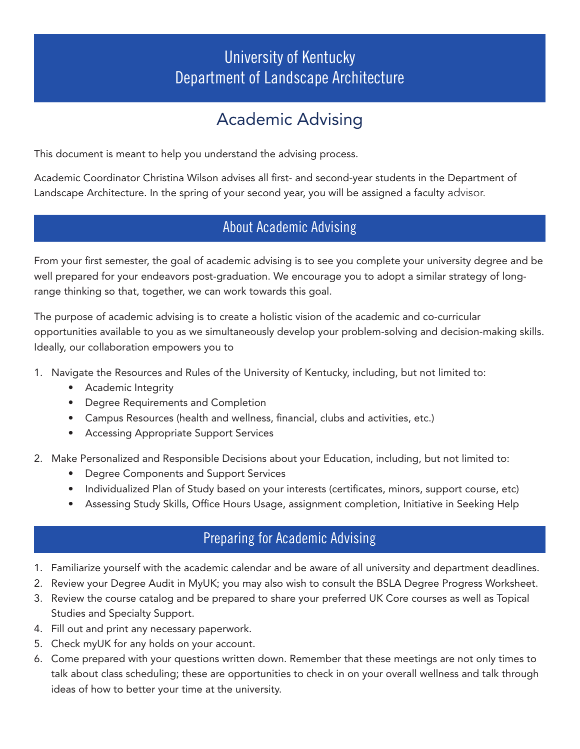# University of Kentucky Department of Landscape Architecture

# Academic Advising

This document is meant to help you understand the advising process.

Academic Coordinator Christina Wilson advises all first- and second-year students in the Department of Landscape Architecture. In the spring of your second year, you will be assigned a faculty advisor.

## About Academic Advising

From your first semester, the goal of academic advising is to see you complete your university degree and be well prepared for your endeavors post-graduation. We encourage you to adopt a similar strategy of longrange thinking so that, together, we can work towards this goal.

The purpose of academic advising is to create a holistic vision of the academic and co-curricular opportunities available to you as we simultaneously develop your problem-solving and decision-making skills. Ideally, our collaboration empowers you to

- 1. Navigate the Resources and Rules of the University of Kentucky, including, but not limited to:
	- Academic Integrity
	- Degree Requirements and Completion
	- Campus Resources (health and wellness, financial, clubs and activities, etc.)
	- Accessing Appropriate Support Services
- 2. Make Personalized and Responsible Decisions about your Education, including, but not limited to:
	- Degree Components and Support Services
	- Individualized Plan of Study based on your interests (certificates, minors, support course, etc)
	- Assessing Study Skills, Office Hours Usage, assignment completion, Initiative in Seeking Help

## Preparing for Academic Advising

- 1. Familiarize yourself with the academic calendar and be aware of all university and department deadlines.
- 2. Review your Degree Audit in MyUK; you may also wish to consult the BSLA Degree Progress Worksheet.
- 3. Review the course catalog and be prepared to share your preferred UK Core courses as well as Topical Studies and Specialty Support.
- 4. Fill out and print any necessary paperwork.
- 5. Check myUK for any holds on your account.
- 6. Come prepared with your questions written down. Remember that these meetings are not only times to talk about class scheduling; these are opportunities to check in on your overall wellness and talk through ideas of how to better your time at the university.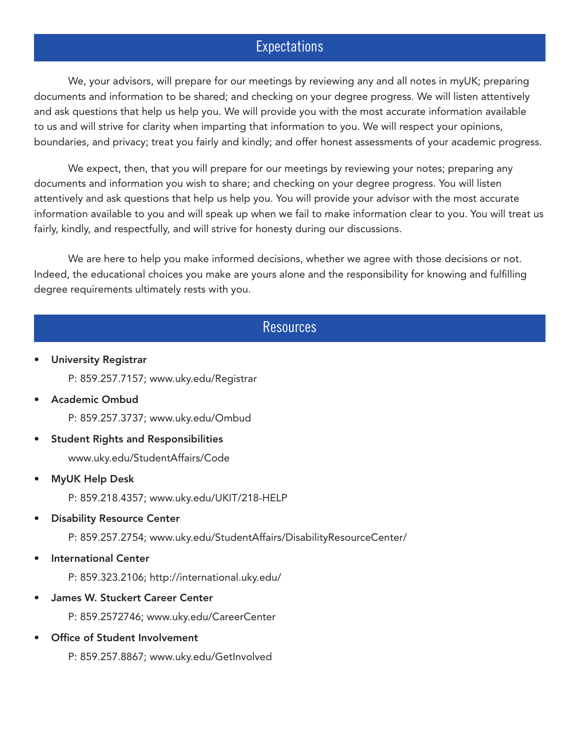### **Expectations**

We, your advisors, will prepare for our meetings by reviewing any and all notes in myUK; preparing documents and information to be shared; and checking on your degree progress. We will listen attentively and ask questions that help us help you. We will provide you with the most accurate information available to us and will strive for clarity when imparting that information to you. We will respect your opinions, boundaries, and privacy; treat you fairly and kindly; and offer honest assessments of your academic progress.

We expect, then, that you will prepare for our meetings by reviewing your notes; preparing any documents and information you wish to share; and checking on your degree progress. You will listen attentively and ask questions that help us help you. You will provide your advisor with the most accurate information available to you and will speak up when we fail to make information clear to you. You will treat us fairly, kindly, and respectfully, and will strive for honesty during our discussions.

We are here to help you make informed decisions, whether we agree with those decisions or not. Indeed, the educational choices you make are yours alone and the responsibility for knowing and fulfilling degree requirements ultimately rests with you.

### Resources

#### • University Registrar

P: 859.257.7157; www.uky.edu/Registrar

• Academic Ombud

P: 859.257.3737; www.uky.edu/Ombud

• Student Rights and Responsibilities

www.uky.edu/StudentAffairs/Code

• MyUK Help Desk

P: 859.218.4357; www.uky.edu/UKIT/218-HELP

**Disability Resource Center** 

P: 859.257.2754; www.uky.edu/StudentAffairs/DisabilityResourceCenter/

• International Center

P: 859.323.2106; http://international.uky.edu/

• James W. Stuckert Career Center

P: 859.2572746; www.uky.edu/CareerCenter

**Office of Student Involvement** 

P: 859.257.8867; www.uky.edu/GetInvolved